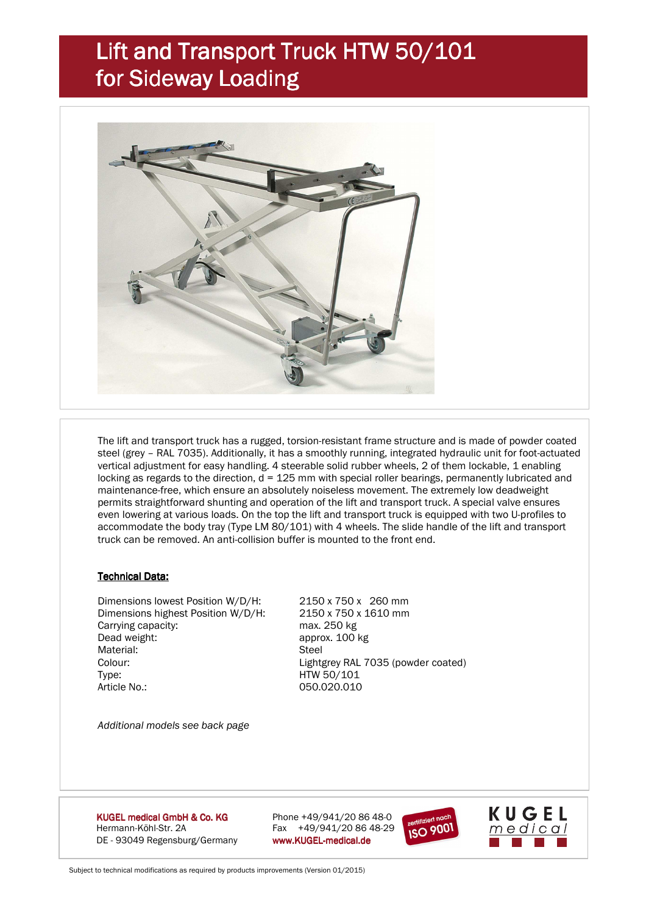## Lift and Transport Truck HTW 50/101 for Sideway Loading



 The lift and transport truck has a rugged, torsion-resistant frame structure and is made of powder coated steel (grey – RAL 7035). Additionally, it has a smoothly running, integrated hydraulic unit for foot-actuated vertical adjustment for easy handling. 4 steerable solid rubber wheels, 2 of them lockable, 1 enabling locking as regards to the direction, d = 125 mm with special roller bearings, permanently lubricated and maintenance-free, which ensure an absolutely noiseless movement. The extremely low deadweight permits straightforward shunting and operation of the lift and transport truck. A special valve ensures even lowering at various loads. On the top the lift and transport truck is equipped with two U-profiles to accommodate the body tray (Type LM 80/101) with 4 wheels. The slide handle of the lift and transport truck can be removed. An anti-collision buffer is mounted to the front end.

#### **Technical Data:**

 Dimensions lowest Position W/D/H: 2150 x 750 x 260 mm Dimensions highest Position W/D/H: 2150 x 750 x 1610 mm Carrying capacity:<br>
Dead weight: max. 250 kg<br>
Dead weight: example approx. 100 l Material<sup>.</sup> Colour: Lightgrey RAL 7035 (powder coated) Type: HTW 50/101 Article No.: 050.020.010

approx. 100 kg<br>Steel

*Additional models see back page* 

KUGEL medical GmbH & Co. KG Hermann-Köhl-Str. 2A Fax +49/941/20 86 48-29 DE - 93049 Regensburg/Germany www.KUGEL-medical.de

Phone  $+49/941/20 86 48-0$ 





Subject to technical modifications as required by products improvements (Version 01/2015)